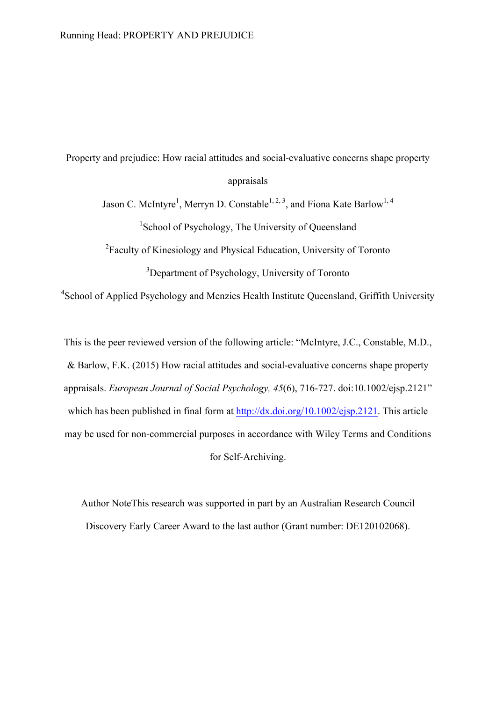Property and prejudice: How racial attitudes and social-evaluative concerns shape property appraisals

Jason C. McIntyre<sup>1</sup>, Merryn D. Constable<sup>1, 2, 3</sup>, and Fiona Kate Barlow<sup>1, 4</sup> <sup>1</sup>School of Psychology, The University of Queensland

<sup>2</sup> Faculty of Kinesiology and Physical Education, University of Toronto

<sup>3</sup>Department of Psychology, University of Toronto

<sup>4</sup>School of Applied Psychology and Menzies Health Institute Queensland, Griffith University

This is the peer reviewed version of the following article: "McIntyre, J.C., Constable, M.D., & Barlow, F.K. (2015) How racial attitudes and social-evaluative concerns shape property appraisals. *European Journal of Social Psychology, 45*(6), 716-727. doi:10.1002/ejsp.2121" which has been published in final form at http://dx.doi.org/10.1002/ejsp.2121. This article may be used for non-commercial purposes in accordance with Wiley Terms and Conditions for Self-Archiving.

Author NoteThis research was supported in part by an Australian Research Council Discovery Early Career Award to the last author (Grant number: DE120102068).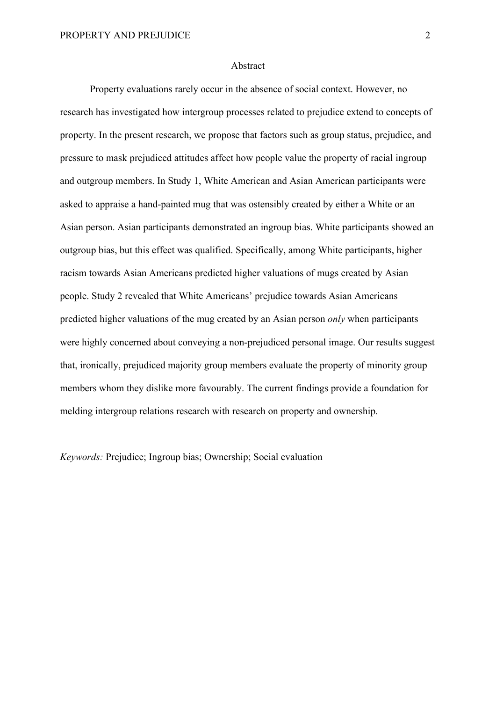#### Abstract

Property evaluations rarely occur in the absence of social context. However, no research has investigated how intergroup processes related to prejudice extend to concepts of property. In the present research, we propose that factors such as group status, prejudice, and pressure to mask prejudiced attitudes affect how people value the property of racial ingroup and outgroup members. In Study 1, White American and Asian American participants were asked to appraise a hand-painted mug that was ostensibly created by either a White or an Asian person. Asian participants demonstrated an ingroup bias. White participants showed an outgroup bias, but this effect was qualified. Specifically, among White participants, higher racism towards Asian Americans predicted higher valuations of mugs created by Asian people. Study 2 revealed that White Americans' prejudice towards Asian Americans predicted higher valuations of the mug created by an Asian person *only* when participants were highly concerned about conveying a non-prejudiced personal image. Our results suggest that, ironically, prejudiced majority group members evaluate the property of minority group members whom they dislike more favourably. The current findings provide a foundation for melding intergroup relations research with research on property and ownership.

*Keywords:* Prejudice; Ingroup bias; Ownership; Social evaluation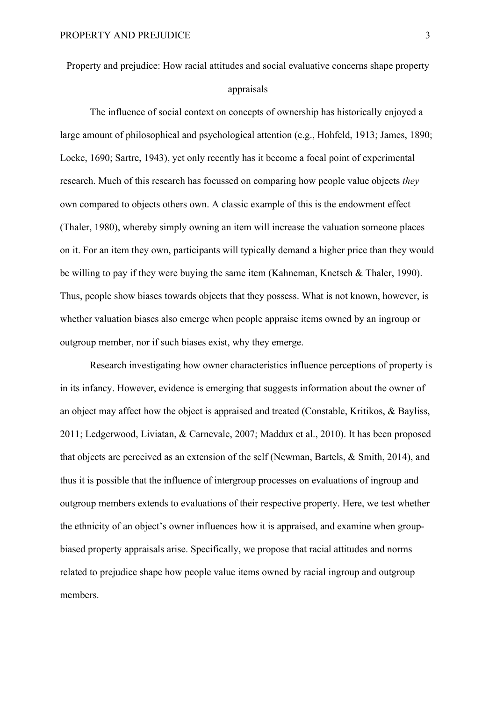Property and prejudice: How racial attitudes and social evaluative concerns shape property appraisals

The influence of social context on concepts of ownership has historically enjoyed a large amount of philosophical and psychological attention (e.g., Hohfeld, 1913; James, 1890; Locke, 1690; Sartre, 1943), yet only recently has it become a focal point of experimental research. Much of this research has focussed on comparing how people value objects *they* own compared to objects others own. A classic example of this is the endowment effect (Thaler, 1980), whereby simply owning an item will increase the valuation someone places on it. For an item they own, participants will typically demand a higher price than they would be willing to pay if they were buying the same item (Kahneman, Knetsch & Thaler, 1990). Thus, people show biases towards objects that they possess. What is not known, however, is whether valuation biases also emerge when people appraise items owned by an ingroup or outgroup member, nor if such biases exist, why they emerge.

Research investigating how owner characteristics influence perceptions of property is in its infancy. However, evidence is emerging that suggests information about the owner of an object may affect how the object is appraised and treated (Constable, Kritikos, & Bayliss, 2011; Ledgerwood, Liviatan, & Carnevale, 2007; Maddux et al., 2010). It has been proposed that objects are perceived as an extension of the self (Newman, Bartels, & Smith, 2014), and thus it is possible that the influence of intergroup processes on evaluations of ingroup and outgroup members extends to evaluations of their respective property. Here, we test whether the ethnicity of an object's owner influences how it is appraised, and examine when groupbiased property appraisals arise. Specifically, we propose that racial attitudes and norms related to prejudice shape how people value items owned by racial ingroup and outgroup members.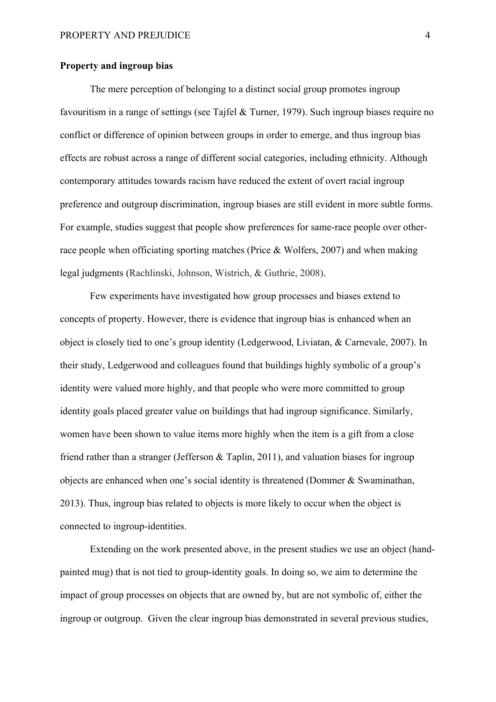### **Property and ingroup bias**

The mere perception of belonging to a distinct social group promotes ingroup favouritism in a range of settings (see Tajfel & Turner, 1979). Such ingroup biases require no conflict or difference of opinion between groups in order to emerge, and thus ingroup bias effects are robust across a range of different social categories, including ethnicity. Although contemporary attitudes towards racism have reduced the extent of overt racial ingroup preference and outgroup discrimination, ingroup biases are still evident in more subtle forms. For example, studies suggest that people show preferences for same-race people over otherrace people when officiating sporting matches (Price & Wolfers, 2007) and when making legal judgments (Rachlinski, Johnson, Wistrich, & Guthrie, 2008).

Few experiments have investigated how group processes and biases extend to concepts of property. However, there is evidence that ingroup bias is enhanced when an object is closely tied to one's group identity (Ledgerwood, Liviatan, & Carnevale, 2007). In their study, Ledgerwood and colleagues found that buildings highly symbolic of a group's identity were valued more highly, and that people who were more committed to group identity goals placed greater value on buildings that had ingroup significance. Similarly, women have been shown to value items more highly when the item is a gift from a close friend rather than a stranger (Jefferson & Taplin, 2011), and valuation biases for ingroup objects are enhanced when one's social identity is threatened (Dommer & Swaminathan, 2013). Thus, ingroup bias related to objects is more likely to occur when the object is connected to ingroup-identities.

Extending on the work presented above, in the present studies we use an object (handpainted mug) that is not tied to group-identity goals. In doing so, we aim to determine the impact of group processes on objects that are owned by, but are not symbolic of, either the ingroup or outgroup. Given the clear ingroup bias demonstrated in several previous studies,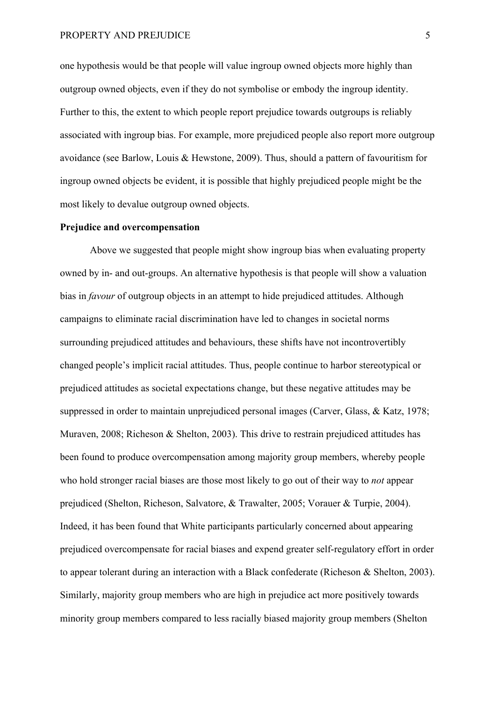one hypothesis would be that people will value ingroup owned objects more highly than outgroup owned objects, even if they do not symbolise or embody the ingroup identity. Further to this, the extent to which people report prejudice towards outgroups is reliably associated with ingroup bias. For example, more prejudiced people also report more outgroup avoidance (see Barlow, Louis & Hewstone, 2009). Thus, should a pattern of favouritism for ingroup owned objects be evident, it is possible that highly prejudiced people might be the most likely to devalue outgroup owned objects.

### **Prejudice and overcompensation**

Above we suggested that people might show ingroup bias when evaluating property owned by in- and out-groups. An alternative hypothesis is that people will show a valuation bias in *favour* of outgroup objects in an attempt to hide prejudiced attitudes. Although campaigns to eliminate racial discrimination have led to changes in societal norms surrounding prejudiced attitudes and behaviours, these shifts have not incontrovertibly changed people's implicit racial attitudes. Thus, people continue to harbor stereotypical or prejudiced attitudes as societal expectations change, but these negative attitudes may be suppressed in order to maintain unprejudiced personal images (Carver, Glass, & Katz, 1978; Muraven, 2008; Richeson & Shelton, 2003). This drive to restrain prejudiced attitudes has been found to produce overcompensation among majority group members, whereby people who hold stronger racial biases are those most likely to go out of their way to *not* appear prejudiced (Shelton, Richeson, Salvatore, & Trawalter, 2005; Vorauer & Turpie, 2004). Indeed, it has been found that White participants particularly concerned about appearing prejudiced overcompensate for racial biases and expend greater self-regulatory effort in order to appear tolerant during an interaction with a Black confederate (Richeson & Shelton, 2003). Similarly, majority group members who are high in prejudice act more positively towards minority group members compared to less racially biased majority group members (Shelton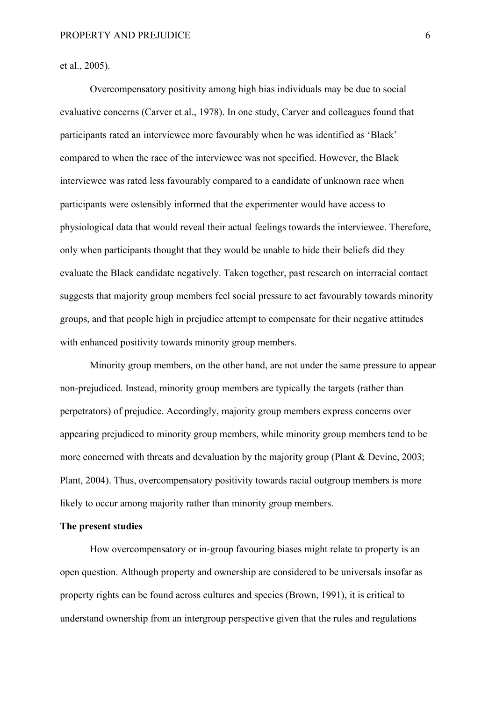et al., 2005).

Overcompensatory positivity among high bias individuals may be due to social evaluative concerns (Carver et al., 1978). In one study, Carver and colleagues found that participants rated an interviewee more favourably when he was identified as 'Black' compared to when the race of the interviewee was not specified. However, the Black interviewee was rated less favourably compared to a candidate of unknown race when participants were ostensibly informed that the experimenter would have access to physiological data that would reveal their actual feelings towards the interviewee. Therefore, only when participants thought that they would be unable to hide their beliefs did they evaluate the Black candidate negatively. Taken together, past research on interracial contact suggests that majority group members feel social pressure to act favourably towards minority groups, and that people high in prejudice attempt to compensate for their negative attitudes with enhanced positivity towards minority group members.

Minority group members, on the other hand, are not under the same pressure to appear non-prejudiced. Instead, minority group members are typically the targets (rather than perpetrators) of prejudice. Accordingly, majority group members express concerns over appearing prejudiced to minority group members, while minority group members tend to be more concerned with threats and devaluation by the majority group (Plant & Devine, 2003; Plant, 2004). Thus, overcompensatory positivity towards racial outgroup members is more likely to occur among majority rather than minority group members.

# **The present studies**

How overcompensatory or in-group favouring biases might relate to property is an open question. Although property and ownership are considered to be universals insofar as property rights can be found across cultures and species (Brown, 1991), it is critical to understand ownership from an intergroup perspective given that the rules and regulations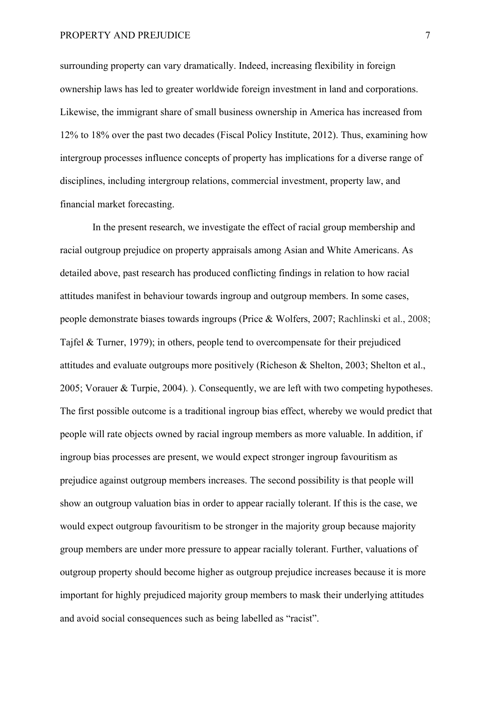surrounding property can vary dramatically. Indeed, increasing flexibility in foreign ownership laws has led to greater worldwide foreign investment in land and corporations. Likewise, the immigrant share of small business ownership in America has increased from 12% to 18% over the past two decades (Fiscal Policy Institute, 2012). Thus, examining how intergroup processes influence concepts of property has implications for a diverse range of disciplines, including intergroup relations, commercial investment, property law, and financial market forecasting.

In the present research, we investigate the effect of racial group membership and racial outgroup prejudice on property appraisals among Asian and White Americans. As detailed above, past research has produced conflicting findings in relation to how racial attitudes manifest in behaviour towards ingroup and outgroup members. In some cases, people demonstrate biases towards ingroups (Price & Wolfers, 2007; Rachlinski et al., 2008; Tajfel & Turner, 1979); in others, people tend to overcompensate for their prejudiced attitudes and evaluate outgroups more positively (Richeson & Shelton, 2003; Shelton et al., 2005; Vorauer & Turpie, 2004). ). Consequently, we are left with two competing hypotheses. The first possible outcome is a traditional ingroup bias effect, whereby we would predict that people will rate objects owned by racial ingroup members as more valuable. In addition, if ingroup bias processes are present, we would expect stronger ingroup favouritism as prejudice against outgroup members increases. The second possibility is that people will show an outgroup valuation bias in order to appear racially tolerant. If this is the case, we would expect outgroup favouritism to be stronger in the majority group because majority group members are under more pressure to appear racially tolerant. Further, valuations of outgroup property should become higher as outgroup prejudice increases because it is more important for highly prejudiced majority group members to mask their underlying attitudes and avoid social consequences such as being labelled as "racist".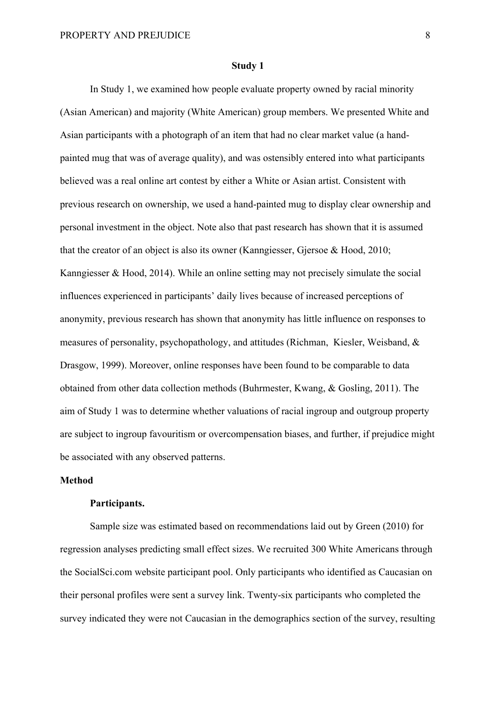#### **Study 1**

In Study 1, we examined how people evaluate property owned by racial minority (Asian American) and majority (White American) group members. We presented White and Asian participants with a photograph of an item that had no clear market value (a handpainted mug that was of average quality), and was ostensibly entered into what participants believed was a real online art contest by either a White or Asian artist. Consistent with previous research on ownership, we used a hand-painted mug to display clear ownership and personal investment in the object. Note also that past research has shown that it is assumed that the creator of an object is also its owner (Kanngiesser, Gjersoe & Hood, 2010; Kanngiesser & Hood, 2014). While an online setting may not precisely simulate the social influences experienced in participants' daily lives because of increased perceptions of anonymity, previous research has shown that anonymity has little influence on responses to measures of personality, psychopathology, and attitudes (Richman, Kiesler, Weisband, & Drasgow, 1999). Moreover, online responses have been found to be comparable to data obtained from other data collection methods (Buhrmester, Kwang, & Gosling, 2011). The aim of Study 1 was to determine whether valuations of racial ingroup and outgroup property are subject to ingroup favouritism or overcompensation biases, and further, if prejudice might be associated with any observed patterns.

# **Method**

### **Participants.**

Sample size was estimated based on recommendations laid out by Green (2010) for regression analyses predicting small effect sizes. We recruited 300 White Americans through the SocialSci.com website participant pool. Only participants who identified as Caucasian on their personal profiles were sent a survey link. Twenty-six participants who completed the survey indicated they were not Caucasian in the demographics section of the survey, resulting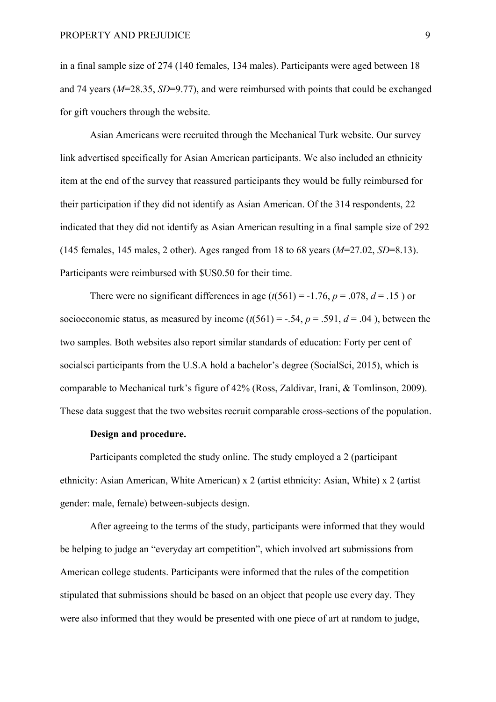in a final sample size of 274 (140 females, 134 males). Participants were aged between 18 and 74 years (*M*=28.35, *SD*=9.77), and were reimbursed with points that could be exchanged for gift vouchers through the website.

Asian Americans were recruited through the Mechanical Turk website. Our survey link advertised specifically for Asian American participants. We also included an ethnicity item at the end of the survey that reassured participants they would be fully reimbursed for their participation if they did not identify as Asian American. Of the 314 respondents, 22 indicated that they did not identify as Asian American resulting in a final sample size of 292 (145 females, 145 males, 2 other). Ages ranged from 18 to 68 years (*M*=27.02, *SD*=8.13). Participants were reimbursed with \$US0.50 for their time.

There were no significant differences in age  $(t(561) = -1.76, p = .078, d = .15)$  or socioeconomic status, as measured by income  $(t(561) = -.54, p = .591, d = .04)$ , between the two samples. Both websites also report similar standards of education: Forty per cent of socialsci participants from the U.S.A hold a bachelor's degree (SocialSci, 2015), which is comparable to Mechanical turk's figure of 42% (Ross, Zaldivar, Irani, & Tomlinson, 2009). These data suggest that the two websites recruit comparable cross-sections of the population.

## **Design and procedure.**

Participants completed the study online. The study employed a 2 (participant ethnicity: Asian American, White American) x 2 (artist ethnicity: Asian, White) x 2 (artist gender: male, female) between-subjects design.

After agreeing to the terms of the study, participants were informed that they would be helping to judge an "everyday art competition", which involved art submissions from American college students. Participants were informed that the rules of the competition stipulated that submissions should be based on an object that people use every day. They were also informed that they would be presented with one piece of art at random to judge,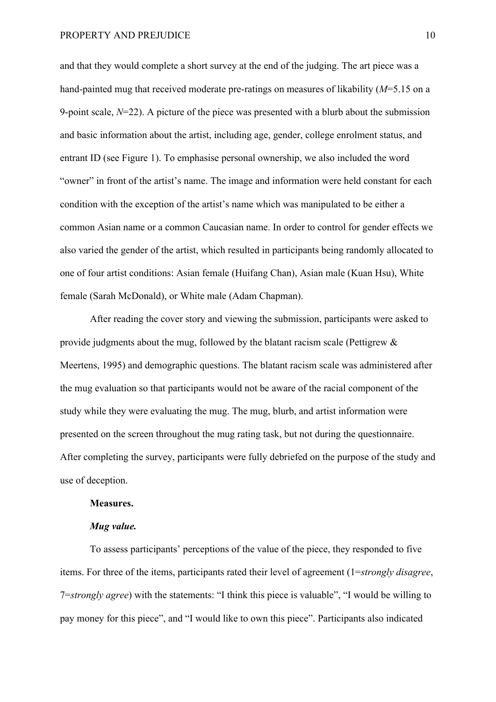and that they would complete a short survey at the end of the judging. The art piece was a hand-painted mug that received moderate pre-ratings on measures of likability (*M*=5.15 on a 9-point scale, *N*=22). A picture of the piece was presented with a blurb about the submission and basic information about the artist, including age, gender, college enrolment status, and entrant ID (see Figure 1). To emphasise personal ownership, we also included the word "owner" in front of the artist's name. The image and information were held constant for each condition with the exception of the artist's name which was manipulated to be either a common Asian name or a common Caucasian name. In order to control for gender effects we also varied the gender of the artist, which resulted in participants being randomly allocated to one of four artist conditions: Asian female (Huifang Chan), Asian male (Kuan Hsu), White female (Sarah McDonald), or White male (Adam Chapman).

After reading the cover story and viewing the submission, participants were asked to provide judgments about the mug, followed by the blatant racism scale (Pettigrew & Meertens, 1995) and demographic questions. The blatant racism scale was administered after the mug evaluation so that participants would not be aware of the racial component of the study while they were evaluating the mug. The mug, blurb, and artist information were presented on the screen throughout the mug rating task, but not during the questionnaire. After completing the survey, participants were fully debriefed on the purpose of the study and use of deception.

### **Measures.**

## *Mug value.*

To assess participants' perceptions of the value of the piece, they responded to five items. For three of the items, participants rated their level of agreement (1=*strongly disagree*, 7=*strongly agree*) with the statements: "I think this piece is valuable", "I would be willing to pay money for this piece", and "I would like to own this piece". Participants also indicated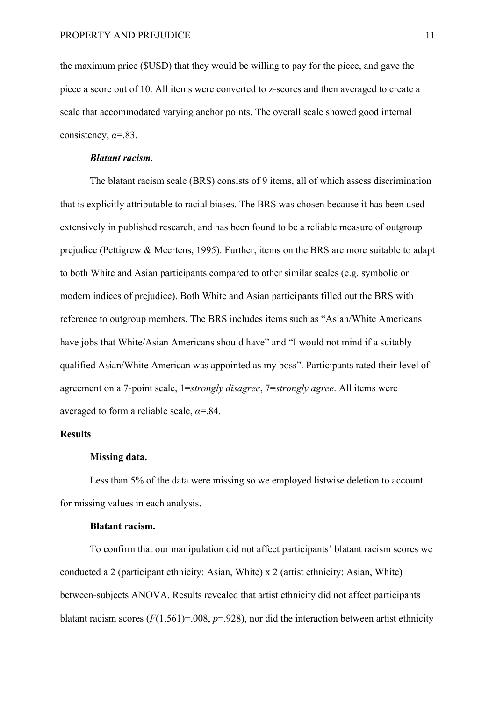the maximum price (\$USD) that they would be willing to pay for the piece, and gave the piece a score out of 10. All items were converted to z-scores and then averaged to create a scale that accommodated varying anchor points. The overall scale showed good internal consistency, *α*=.83.

### *Blatant racism.*

The blatant racism scale (BRS) consists of 9 items, all of which assess discrimination that is explicitly attributable to racial biases. The BRS was chosen because it has been used extensively in published research, and has been found to be a reliable measure of outgroup prejudice (Pettigrew & Meertens, 1995). Further, items on the BRS are more suitable to adapt to both White and Asian participants compared to other similar scales (e.g. symbolic or modern indices of prejudice). Both White and Asian participants filled out the BRS with reference to outgroup members. The BRS includes items such as "Asian/White Americans have jobs that White/Asian Americans should have" and "I would not mind if a suitably qualified Asian/White American was appointed as my boss". Participants rated their level of agreement on a 7-point scale, 1=*strongly disagree*, 7=*strongly agree*. All items were averaged to form a reliable scale, *α*=.84.

# **Results**

### **Missing data.**

Less than 5% of the data were missing so we employed listwise deletion to account for missing values in each analysis.

# **Blatant racism.**

To confirm that our manipulation did not affect participants' blatant racism scores we conducted a 2 (participant ethnicity: Asian, White) x 2 (artist ethnicity: Asian, White) between-subjects ANOVA. Results revealed that artist ethnicity did not affect participants blatant racism scores  $(F(1,561)=.008, p=.928)$ , nor did the interaction between artist ethnicity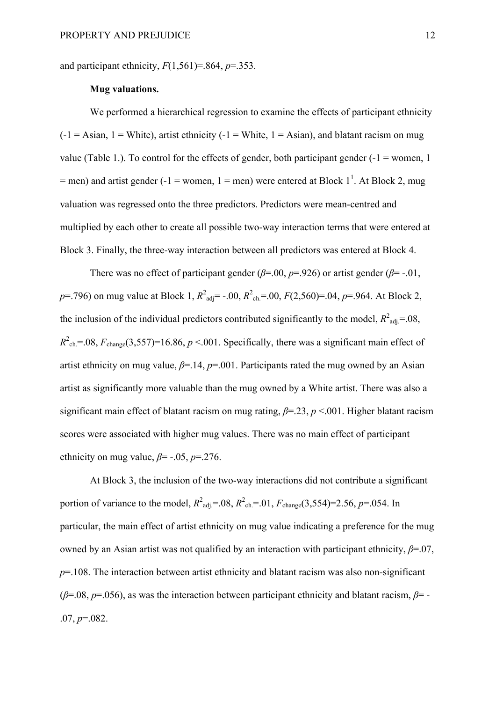and participant ethnicity,  $F(1,561)=0.864$ ,  $p=.353$ .

# **Mug valuations.**

We performed a hierarchical regression to examine the effects of participant ethnicity  $(-1) =$  Asian,  $1 =$  White), artist ethnicity  $(-1) =$  White,  $1 =$  Asian), and blatant racism on mug value (Table 1.). To control for the effects of gender, both participant gender  $(-1)$  = women, 1  $=$  men) and artist gender (-1 = women, 1 = men) were entered at Block 1<sup>1</sup>. At Block 2, mug valuation was regressed onto the three predictors. Predictors were mean-centred and multiplied by each other to create all possible two-way interaction terms that were entered at Block 3. Finally, the three-way interaction between all predictors was entered at Block 4.

There was no effect of participant gender ( $\beta$ =.00,  $p$ =.926) or artist gender ( $\beta$ =-.01, *p*=.796) on mug value at Block 1,  $R^2_{\text{adj}}$  = -.00,  $R^2_{\text{ch}}$  =.00,  $F(2,560)$  =.04, *p*=.964. At Block 2, the inclusion of the individual predictors contributed significantly to the model,  $R^2_{\text{adj}} = .08$ ,  $R^2_{\text{ch}} = 0.08$ ,  $F_{\text{change}}(3,557) = 16.86$ ,  $p < 0.01$ . Specifically, there was a significant main effect of artist ethnicity on mug value,  $\beta$ =.14,  $p$ =.001. Participants rated the mug owned by an Asian artist as significantly more valuable than the mug owned by a White artist. There was also a significant main effect of blatant racism on mug rating, *β*=.23, *p* <.001. Higher blatant racism scores were associated with higher mug values. There was no main effect of participant ethnicity on mug value,  $\beta$ = -.05,  $p$ =.276.

At Block 3, the inclusion of the two-way interactions did not contribute a significant portion of variance to the model,  $R^2_{\text{adj}} = .08$ ,  $R^2_{\text{ch}} = .01$ ,  $F_{\text{change}}(3,554) = 2.56$ ,  $p = .054$ . In particular, the main effect of artist ethnicity on mug value indicating a preference for the mug owned by an Asian artist was not qualified by an interaction with participant ethnicity, *β*=.07, *p*=.108. The interaction between artist ethnicity and blatant racism was also non-significant (*β*=.08, *p*=.056), as was the interaction between participant ethnicity and blatant racism, *β*= - .07, *p*=.082.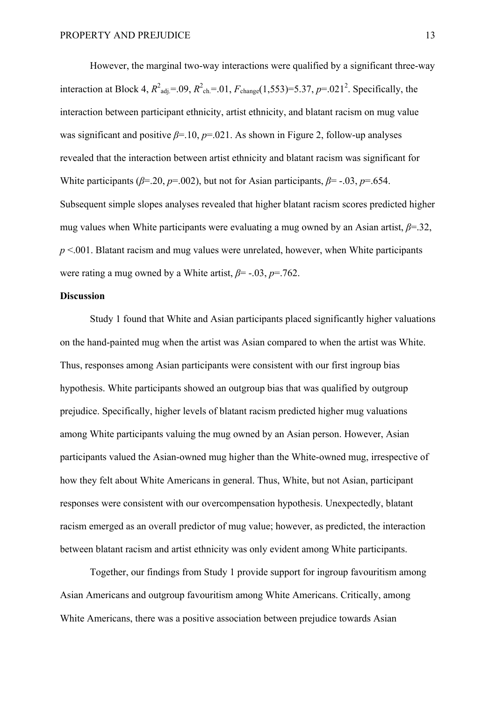However, the marginal two-way interactions were qualified by a significant three-way interaction at Block 4,  $R^2_{\text{adj}} = .09$ ,  $R^2_{\text{ch}} = .01$ ,  $F_{\text{change}}(1,553) = 5.37$ ,  $p = .021^2$ . Specifically, the interaction between participant ethnicity, artist ethnicity, and blatant racism on mug value was significant and positive *β*=.10, *p*=.021. As shown in Figure 2, follow-up analyses revealed that the interaction between artist ethnicity and blatant racism was significant for White participants ( $\beta$ =.20,  $\nu$ =.002), but not for Asian participants,  $\beta$ = -.03,  $\nu$ =.654. Subsequent simple slopes analyses revealed that higher blatant racism scores predicted higher mug values when White participants were evaluating a mug owned by an Asian artist, *β*=.32, *p* <.001. Blatant racism and mug values were unrelated, however, when White participants were rating a mug owned by a White artist, *β*= -.03, *p*=.762.

# **Discussion**

Study 1 found that White and Asian participants placed significantly higher valuations on the hand-painted mug when the artist was Asian compared to when the artist was White. Thus, responses among Asian participants were consistent with our first ingroup bias hypothesis. White participants showed an outgroup bias that was qualified by outgroup prejudice. Specifically, higher levels of blatant racism predicted higher mug valuations among White participants valuing the mug owned by an Asian person. However, Asian participants valued the Asian-owned mug higher than the White-owned mug, irrespective of how they felt about White Americans in general. Thus, White, but not Asian, participant responses were consistent with our overcompensation hypothesis. Unexpectedly, blatant racism emerged as an overall predictor of mug value; however, as predicted, the interaction between blatant racism and artist ethnicity was only evident among White participants.

Together, our findings from Study 1 provide support for ingroup favouritism among Asian Americans and outgroup favouritism among White Americans. Critically, among White Americans, there was a positive association between prejudice towards Asian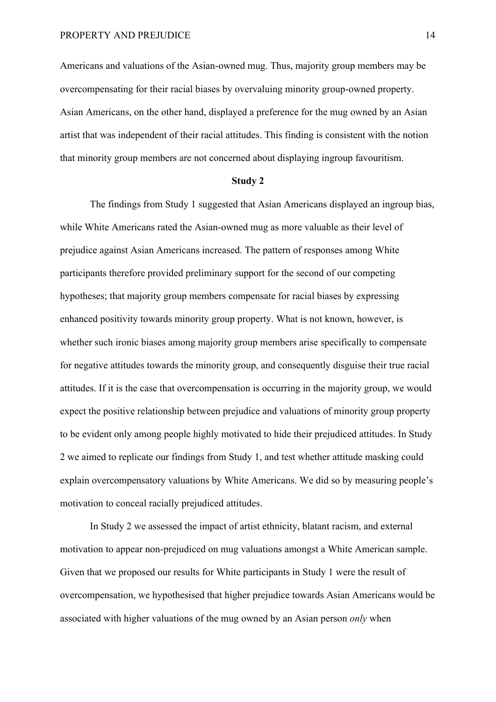Americans and valuations of the Asian-owned mug. Thus, majority group members may be overcompensating for their racial biases by overvaluing minority group-owned property. Asian Americans, on the other hand, displayed a preference for the mug owned by an Asian artist that was independent of their racial attitudes. This finding is consistent with the notion that minority group members are not concerned about displaying ingroup favouritism.

### **Study 2**

The findings from Study 1 suggested that Asian Americans displayed an ingroup bias, while White Americans rated the Asian-owned mug as more valuable as their level of prejudice against Asian Americans increased. The pattern of responses among White participants therefore provided preliminary support for the second of our competing hypotheses; that majority group members compensate for racial biases by expressing enhanced positivity towards minority group property. What is not known, however, is whether such ironic biases among majority group members arise specifically to compensate for negative attitudes towards the minority group, and consequently disguise their true racial attitudes. If it is the case that overcompensation is occurring in the majority group, we would expect the positive relationship between prejudice and valuations of minority group property to be evident only among people highly motivated to hide their prejudiced attitudes. In Study 2 we aimed to replicate our findings from Study 1, and test whether attitude masking could explain overcompensatory valuations by White Americans. We did so by measuring people's motivation to conceal racially prejudiced attitudes.

In Study 2 we assessed the impact of artist ethnicity, blatant racism, and external motivation to appear non-prejudiced on mug valuations amongst a White American sample. Given that we proposed our results for White participants in Study 1 were the result of overcompensation, we hypothesised that higher prejudice towards Asian Americans would be associated with higher valuations of the mug owned by an Asian person *only* when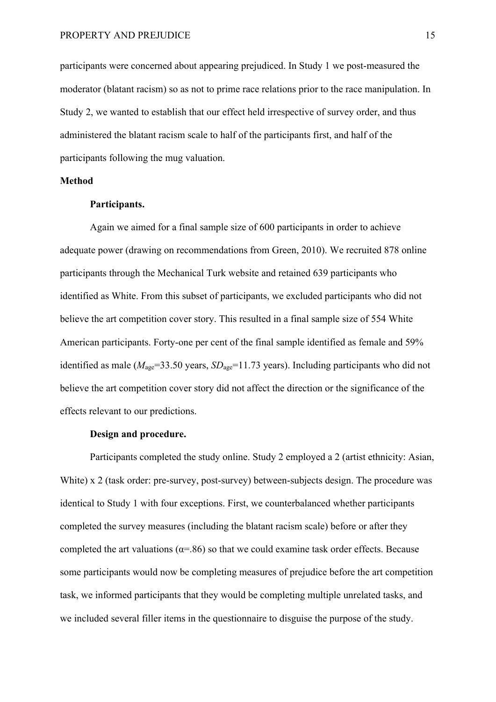participants were concerned about appearing prejudiced. In Study 1 we post-measured the moderator (blatant racism) so as not to prime race relations prior to the race manipulation. In Study 2, we wanted to establish that our effect held irrespective of survey order, and thus administered the blatant racism scale to half of the participants first, and half of the participants following the mug valuation.

# **Method**

### **Participants.**

Again we aimed for a final sample size of 600 participants in order to achieve adequate power (drawing on recommendations from Green, 2010). We recruited 878 online participants through the Mechanical Turk website and retained 639 participants who identified as White. From this subset of participants, we excluded participants who did not believe the art competition cover story. This resulted in a final sample size of 554 White American participants. Forty-one per cent of the final sample identified as female and 59% identified as male ( $M_{\text{age}}$ =33.50 years,  $SD_{\text{age}}$ =11.73 years). Including participants who did not believe the art competition cover story did not affect the direction or the significance of the effects relevant to our predictions.

# **Design and procedure.**

Participants completed the study online. Study 2 employed a 2 (artist ethnicity: Asian, White) x 2 (task order: pre-survey, post-survey) between-subjects design. The procedure was identical to Study 1 with four exceptions. First, we counterbalanced whether participants completed the survey measures (including the blatant racism scale) before or after they completed the art valuations ( $\alpha$ =.86) so that we could examine task order effects. Because some participants would now be completing measures of prejudice before the art competition task, we informed participants that they would be completing multiple unrelated tasks, and we included several filler items in the questionnaire to disguise the purpose of the study.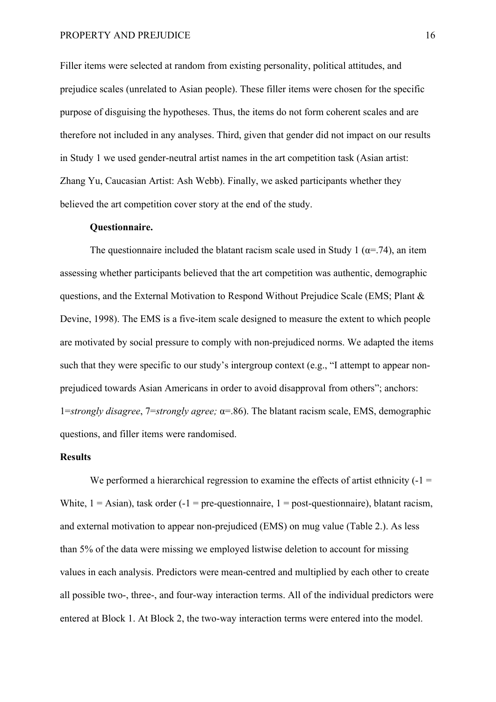Filler items were selected at random from existing personality, political attitudes, and prejudice scales (unrelated to Asian people). These filler items were chosen for the specific purpose of disguising the hypotheses. Thus, the items do not form coherent scales and are therefore not included in any analyses. Third, given that gender did not impact on our results in Study 1 we used gender-neutral artist names in the art competition task (Asian artist: Zhang Yu, Caucasian Artist: Ash Webb). Finally, we asked participants whether they believed the art competition cover story at the end of the study.

### **Questionnaire.**

The questionnaire included the blatant racism scale used in Study 1 ( $\alpha$ =.74), an item assessing whether participants believed that the art competition was authentic, demographic questions, and the External Motivation to Respond Without Prejudice Scale (EMS; Plant & Devine, 1998). The EMS is a five-item scale designed to measure the extent to which people are motivated by social pressure to comply with non-prejudiced norms. We adapted the items such that they were specific to our study's intergroup context (e.g., "I attempt to appear nonprejudiced towards Asian Americans in order to avoid disapproval from others"; anchors: 1=*strongly disagree*, 7=*strongly agree;* α=.86). The blatant racism scale, EMS, demographic questions, and filler items were randomised.

# **Results**

We performed a hierarchical regression to examine the effects of artist ethnicity  $(-1)$ White,  $1 =$  Asian), task order (-1 = pre-questionnaire, 1 = post-questionnaire), blatant racism, and external motivation to appear non-prejudiced (EMS) on mug value (Table 2.). As less than 5% of the data were missing we employed listwise deletion to account for missing values in each analysis. Predictors were mean-centred and multiplied by each other to create all possible two-, three-, and four-way interaction terms. All of the individual predictors were entered at Block 1. At Block 2, the two-way interaction terms were entered into the model.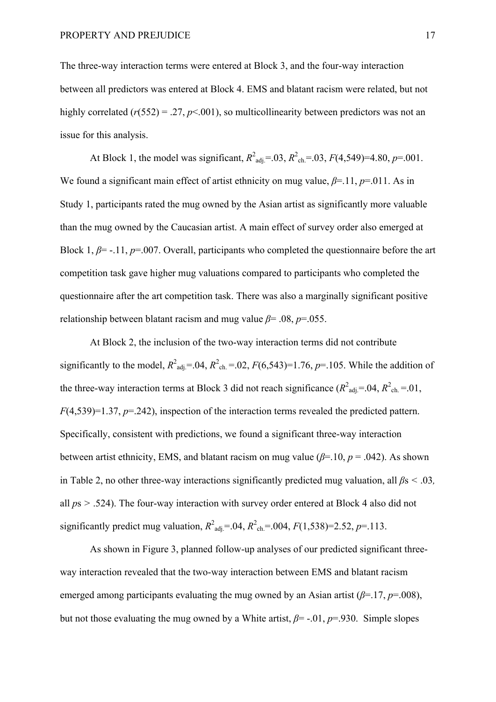The three-way interaction terms were entered at Block 3, and the four-way interaction between all predictors was entered at Block 4. EMS and blatant racism were related, but not highly correlated  $(r(552) = .27, p \le 0.001)$ , so multicollinearity between predictors was not an issue for this analysis.

At Block 1, the model was significant,  $R^2_{\text{adj}} = .03$ ,  $R^2_{\text{ch}} = .03$ ,  $F(4,549) = 4.80$ ,  $p = .001$ . We found a significant main effect of artist ethnicity on mug value, *β*=.11, *p*=.011. As in Study 1, participants rated the mug owned by the Asian artist as significantly more valuable than the mug owned by the Caucasian artist. A main effect of survey order also emerged at Block 1,  $\beta$ = -.11,  $p$ =.007. Overall, participants who completed the questionnaire before the art competition task gave higher mug valuations compared to participants who completed the questionnaire after the art competition task. There was also a marginally significant positive relationship between blatant racism and mug value *β*= .08, *p*=.055.

At Block 2, the inclusion of the two-way interaction terms did not contribute significantly to the model,  $R^2_{\text{adj}} = .04$ ,  $R^2_{\text{ch}} = .02$ ,  $F(6,543)=1.76$ ,  $p=.105$ . While the addition of the three-way interaction terms at Block 3 did not reach significance ( $R^2_{\text{adj}}$ =.04,  $R^2_{\text{ch}}$ =.01, *F*(4,539)=1.37, *p*=.242), inspection of the interaction terms revealed the predicted pattern. Specifically, consistent with predictions, we found a significant three-way interaction between artist ethnicity, EMS, and blatant racism on mug value ( $\beta$ =.10,  $p$  = .042). As shown in Table 2, no other three-way interactions significantly predicted mug valuation, all *β*s *<* .03*,*  all *p*s *>* .524). The four-way interaction with survey order entered at Block 4 also did not significantly predict mug valuation,  $R^2_{\text{adj}} = .04$ ,  $R^2_{\text{ch}} = .004$ ,  $F(1,538)=2.52$ ,  $p=.113$ .

As shown in Figure 3, planned follow-up analyses of our predicted significant threeway interaction revealed that the two-way interaction between EMS and blatant racism emerged among participants evaluating the mug owned by an Asian artist ( $\beta$ =.17,  $p$ =.008), but not those evaluating the mug owned by a White artist,  $\beta$ = -.01,  $p$ =.930. Simple slopes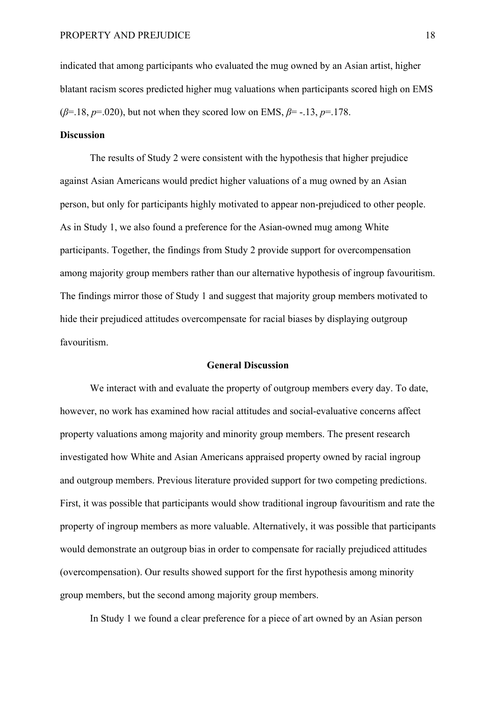indicated that among participants who evaluated the mug owned by an Asian artist, higher blatant racism scores predicted higher mug valuations when participants scored high on EMS (*β*=.18, *p*=.020), but not when they scored low on EMS, *β*= -.13, *p*=.178.

# **Discussion**

The results of Study 2 were consistent with the hypothesis that higher prejudice against Asian Americans would predict higher valuations of a mug owned by an Asian person, but only for participants highly motivated to appear non-prejudiced to other people. As in Study 1, we also found a preference for the Asian-owned mug among White participants. Together, the findings from Study 2 provide support for overcompensation among majority group members rather than our alternative hypothesis of ingroup favouritism. The findings mirror those of Study 1 and suggest that majority group members motivated to hide their prejudiced attitudes overcompensate for racial biases by displaying outgroup favouritism.

### **General Discussion**

We interact with and evaluate the property of outgroup members every day. To date, however, no work has examined how racial attitudes and social-evaluative concerns affect property valuations among majority and minority group members. The present research investigated how White and Asian Americans appraised property owned by racial ingroup and outgroup members. Previous literature provided support for two competing predictions. First, it was possible that participants would show traditional ingroup favouritism and rate the property of ingroup members as more valuable. Alternatively, it was possible that participants would demonstrate an outgroup bias in order to compensate for racially prejudiced attitudes (overcompensation). Our results showed support for the first hypothesis among minority group members, but the second among majority group members.

In Study 1 we found a clear preference for a piece of art owned by an Asian person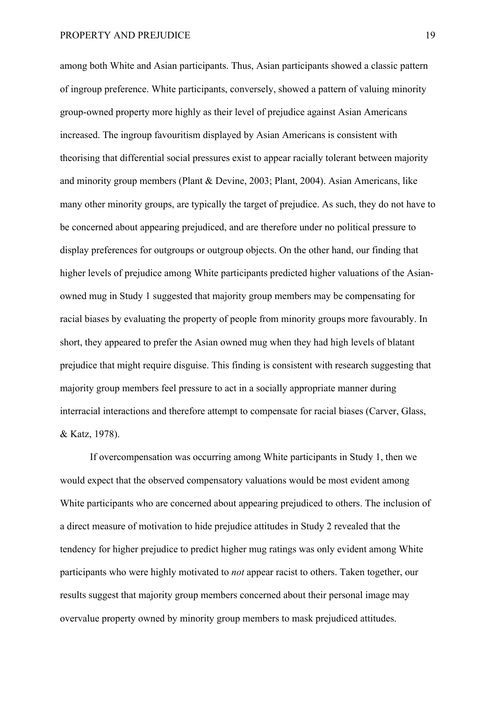among both White and Asian participants. Thus, Asian participants showed a classic pattern of ingroup preference. White participants, conversely, showed a pattern of valuing minority group-owned property more highly as their level of prejudice against Asian Americans increased. The ingroup favouritism displayed by Asian Americans is consistent with theorising that differential social pressures exist to appear racially tolerant between majority and minority group members (Plant & Devine, 2003; Plant, 2004). Asian Americans, like many other minority groups, are typically the target of prejudice. As such, they do not have to be concerned about appearing prejudiced, and are therefore under no political pressure to display preferences for outgroups or outgroup objects. On the other hand, our finding that higher levels of prejudice among White participants predicted higher valuations of the Asianowned mug in Study 1 suggested that majority group members may be compensating for racial biases by evaluating the property of people from minority groups more favourably. In short, they appeared to prefer the Asian owned mug when they had high levels of blatant prejudice that might require disguise. This finding is consistent with research suggesting that majority group members feel pressure to act in a socially appropriate manner during interracial interactions and therefore attempt to compensate for racial biases (Carver, Glass, & Katz, 1978).

If overcompensation was occurring among White participants in Study 1, then we would expect that the observed compensatory valuations would be most evident among White participants who are concerned about appearing prejudiced to others. The inclusion of a direct measure of motivation to hide prejudice attitudes in Study 2 revealed that the tendency for higher prejudice to predict higher mug ratings was only evident among White participants who were highly motivated to *not* appear racist to others. Taken together, our results suggest that majority group members concerned about their personal image may overvalue property owned by minority group members to mask prejudiced attitudes.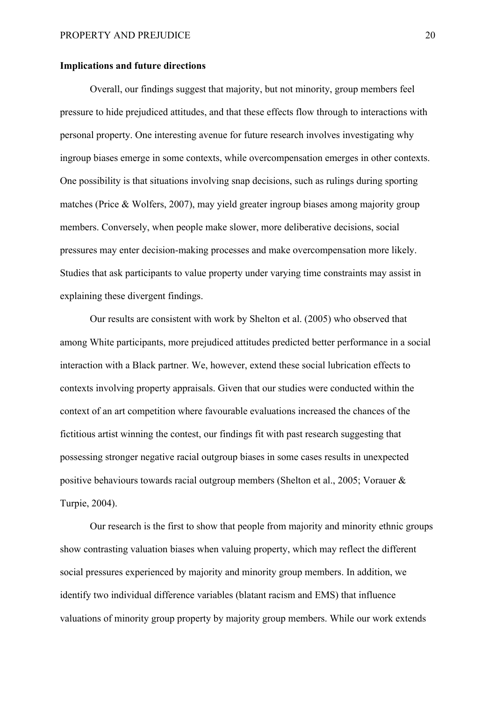# **Implications and future directions**

Overall, our findings suggest that majority, but not minority, group members feel pressure to hide prejudiced attitudes, and that these effects flow through to interactions with personal property. One interesting avenue for future research involves investigating why ingroup biases emerge in some contexts, while overcompensation emerges in other contexts. One possibility is that situations involving snap decisions, such as rulings during sporting matches (Price & Wolfers, 2007), may yield greater ingroup biases among majority group members. Conversely, when people make slower, more deliberative decisions, social pressures may enter decision-making processes and make overcompensation more likely. Studies that ask participants to value property under varying time constraints may assist in explaining these divergent findings.

Our results are consistent with work by Shelton et al. (2005) who observed that among White participants, more prejudiced attitudes predicted better performance in a social interaction with a Black partner. We, however, extend these social lubrication effects to contexts involving property appraisals. Given that our studies were conducted within the context of an art competition where favourable evaluations increased the chances of the fictitious artist winning the contest, our findings fit with past research suggesting that possessing stronger negative racial outgroup biases in some cases results in unexpected positive behaviours towards racial outgroup members (Shelton et al., 2005; Vorauer & Turpie, 2004).

Our research is the first to show that people from majority and minority ethnic groups show contrasting valuation biases when valuing property, which may reflect the different social pressures experienced by majority and minority group members. In addition, we identify two individual difference variables (blatant racism and EMS) that influence valuations of minority group property by majority group members. While our work extends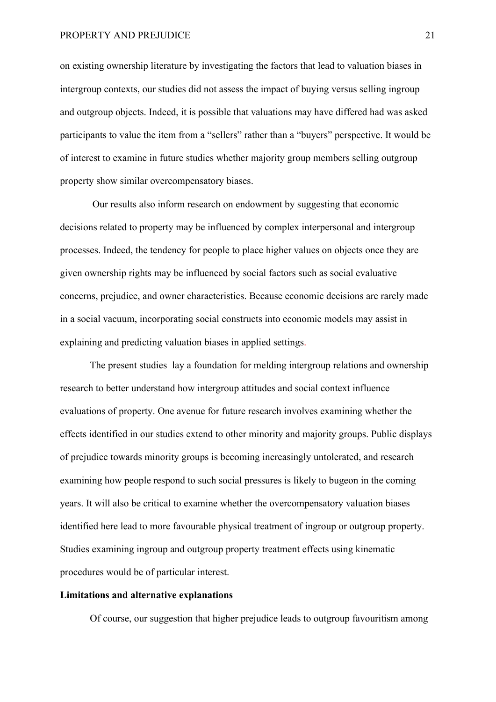on existing ownership literature by investigating the factors that lead to valuation biases in intergroup contexts, our studies did not assess the impact of buying versus selling ingroup and outgroup objects. Indeed, it is possible that valuations may have differed had was asked participants to value the item from a "sellers" rather than a "buyers" perspective. It would be of interest to examine in future studies whether majority group members selling outgroup property show similar overcompensatory biases.

Our results also inform research on endowment by suggesting that economic decisions related to property may be influenced by complex interpersonal and intergroup processes. Indeed, the tendency for people to place higher values on objects once they are given ownership rights may be influenced by social factors such as social evaluative concerns, prejudice, and owner characteristics. Because economic decisions are rarely made in a social vacuum, incorporating social constructs into economic models may assist in explaining and predicting valuation biases in applied settings.

The present studies lay a foundation for melding intergroup relations and ownership research to better understand how intergroup attitudes and social context influence evaluations of property. One avenue for future research involves examining whether the effects identified in our studies extend to other minority and majority groups. Public displays of prejudice towards minority groups is becoming increasingly untolerated, and research examining how people respond to such social pressures is likely to bugeon in the coming years. It will also be critical to examine whether the overcompensatory valuation biases identified here lead to more favourable physical treatment of ingroup or outgroup property. Studies examining ingroup and outgroup property treatment effects using kinematic procedures would be of particular interest.

# **Limitations and alternative explanations**

Of course, our suggestion that higher prejudice leads to outgroup favouritism among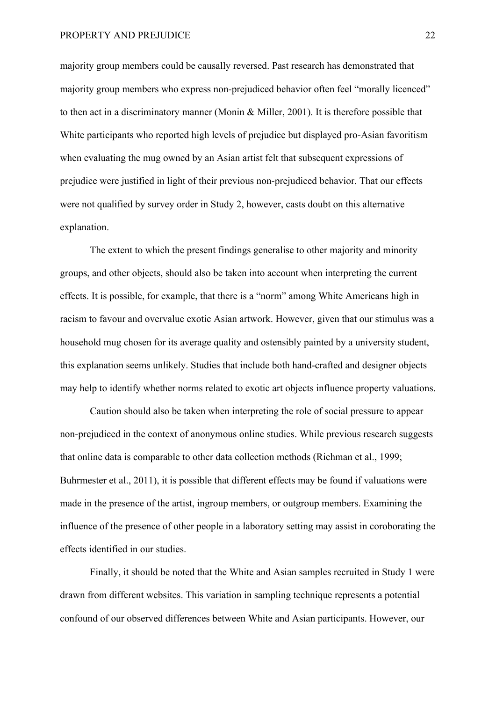majority group members could be causally reversed. Past research has demonstrated that majority group members who express non-prejudiced behavior often feel "morally licenced" to then act in a discriminatory manner (Monin & Miller, 2001). It is therefore possible that White participants who reported high levels of prejudice but displayed pro-Asian favoritism when evaluating the mug owned by an Asian artist felt that subsequent expressions of prejudice were justified in light of their previous non-prejudiced behavior. That our effects were not qualified by survey order in Study 2, however, casts doubt on this alternative explanation.

The extent to which the present findings generalise to other majority and minority groups, and other objects, should also be taken into account when interpreting the current effects. It is possible, for example, that there is a "norm" among White Americans high in racism to favour and overvalue exotic Asian artwork. However, given that our stimulus was a household mug chosen for its average quality and ostensibly painted by a university student, this explanation seems unlikely. Studies that include both hand-crafted and designer objects may help to identify whether norms related to exotic art objects influence property valuations.

Caution should also be taken when interpreting the role of social pressure to appear non-prejudiced in the context of anonymous online studies. While previous research suggests that online data is comparable to other data collection methods (Richman et al., 1999; Buhrmester et al., 2011), it is possible that different effects may be found if valuations were made in the presence of the artist, ingroup members, or outgroup members. Examining the influence of the presence of other people in a laboratory setting may assist in coroborating the effects identified in our studies.

Finally, it should be noted that the White and Asian samples recruited in Study 1 were drawn from different websites. This variation in sampling technique represents a potential confound of our observed differences between White and Asian participants. However, our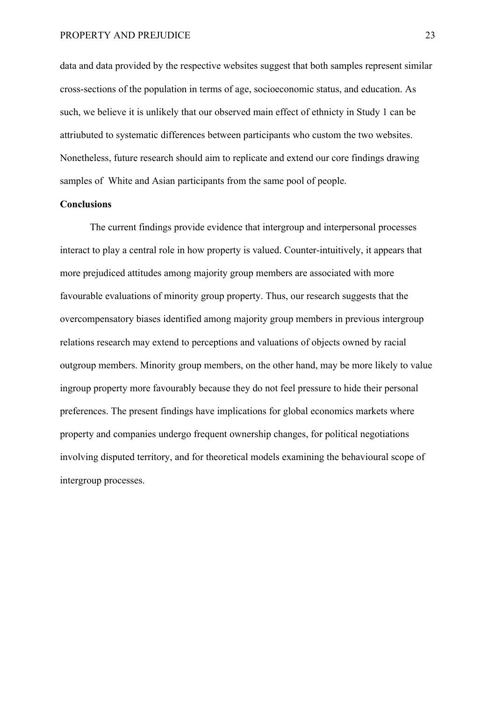data and data provided by the respective websites suggest that both samples represent similar cross-sections of the population in terms of age, socioeconomic status, and education. As such, we believe it is unlikely that our observed main effect of ethnicty in Study 1 can be attriubuted to systematic differences between participants who custom the two websites. Nonetheless, future research should aim to replicate and extend our core findings drawing samples of White and Asian participants from the same pool of people.

### **Conclusions**

The current findings provide evidence that intergroup and interpersonal processes interact to play a central role in how property is valued. Counter-intuitively, it appears that more prejudiced attitudes among majority group members are associated with more favourable evaluations of minority group property. Thus, our research suggests that the overcompensatory biases identified among majority group members in previous intergroup relations research may extend to perceptions and valuations of objects owned by racial outgroup members. Minority group members, on the other hand, may be more likely to value ingroup property more favourably because they do not feel pressure to hide their personal preferences. The present findings have implications for global economics markets where property and companies undergo frequent ownership changes, for political negotiations involving disputed territory, and for theoretical models examining the behavioural scope of intergroup processes.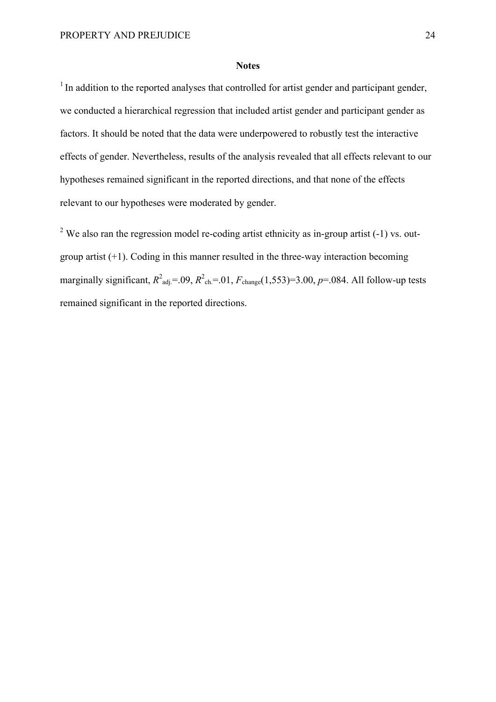#### **Notes**

 $1$  In addition to the reported analyses that controlled for artist gender and participant gender, we conducted a hierarchical regression that included artist gender and participant gender as factors. It should be noted that the data were underpowered to robustly test the interactive effects of gender. Nevertheless, results of the analysis revealed that all effects relevant to our hypotheses remained significant in the reported directions, and that none of the effects relevant to our hypotheses were moderated by gender.

<sup>2</sup> We also ran the regression model re-coding artist ethnicity as in-group artist  $(-1)$  vs. outgroup artist  $(+1)$ . Coding in this manner resulted in the three-way interaction becoming marginally significant,  $R^2_{\text{adj}} = .09$ ,  $R^2_{\text{ch}} = .01$ ,  $F_{\text{change}}(1,553) = 3.00$ ,  $p = .084$ . All follow-up tests remained significant in the reported directions.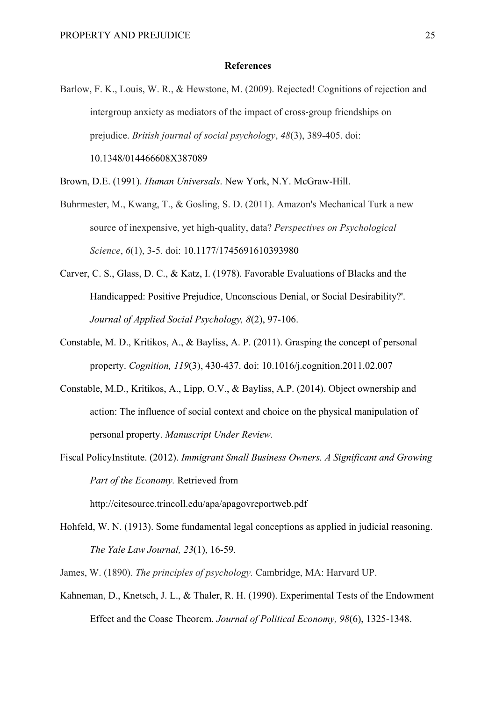### **References**

Barlow, F. K., Louis, W. R., & Hewstone, M. (2009). Rejected! Cognitions of rejection and intergroup anxiety as mediators of the impact of cross-group friendships on prejudice. *British journal of social psychology*, *48*(3), 389-405. doi: 10.1348/014466608X387089

Brown, D.E. (1991). *Human Universals*. New York, N.Y. McGraw-Hill.

- Buhrmester, M., Kwang, T., & Gosling, S. D. (2011). Amazon's Mechanical Turk a new source of inexpensive, yet high-quality, data? *Perspectives on Psychological Science*, *6*(1), 3-5. doi: 10.1177/1745691610393980
- Carver, C. S., Glass, D. C., & Katz, I. (1978). Favorable Evaluations of Blacks and the Handicapped: Positive Prejudice, Unconscious Denial, or Social Desirability?'. *Journal of Applied Social Psychology, 8*(2), 97-106.
- Constable, M. D., Kritikos, A., & Bayliss, A. P. (2011). Grasping the concept of personal property. *Cognition, 119*(3), 430-437. doi: 10.1016/j.cognition.2011.02.007
- Constable, M.D., Kritikos, A., Lipp, O.V., & Bayliss, A.P. (2014). Object ownership and action: The influence of social context and choice on the physical manipulation of personal property. *Manuscript Under Review.*
- Fiscal PolicyInstitute. (2012). *Immigrant Small Business Owners. A Significant and Growing Part of the Economy.* Retrieved from

http://citesource.trincoll.edu/apa/apagovreportweb.pdf

- Hohfeld, W. N. (1913). Some fundamental legal conceptions as applied in judicial reasoning. *The Yale Law Journal, 23*(1), 16-59.
- James, W. (1890). *The principles of psychology.* Cambridge, MA: Harvard UP.
- Kahneman, D., Knetsch, J. L., & Thaler, R. H. (1990). Experimental Tests of the Endowment Effect and the Coase Theorem. *Journal of Political Economy, 98*(6), 1325-1348.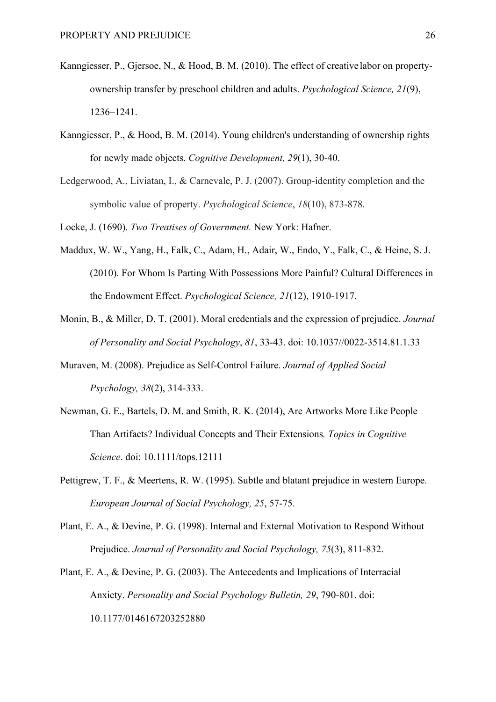- Kanngiesser, P., Gjersoe, N., & Hood, B. M. (2010). The effect of creative labor on propertyownership transfer by preschool children and adults. *Psychological Science, 21*(9), 1236–1241.
- Kanngiesser, P., & Hood, B. M. (2014). Young children's understanding of ownership rights for newly made objects. *Cognitive Development, 29*(1), 30-40.
- Ledgerwood, A., Liviatan, I., & Carnevale, P. J. (2007). Group-identity completion and the symbolic value of property. *Psychological Science*, *18*(10), 873-878.
- Locke, J. (1690). *Two Treatises of Government.* New York: Hafner.
- Maddux, W. W., Yang, H., Falk, C., Adam, H., Adair, W., Endo, Y., Falk, C., & Heine, S. J. (2010). For Whom Is Parting With Possessions More Painful? Cultural Differences in the Endowment Effect. *Psychological Science, 21*(12), 1910-1917.
- Monin, B., & Miller, D. T. (2001). Moral credentials and the expression of prejudice. *Journal of Personality and Social Psychology*, *81*, 33-43. doi: 10.1037//0022-3514.81.1.33
- Muraven, M. (2008). Prejudice as Self-Control Failure. *Journal of Applied Social Psychology, 38*(2), 314-333.
- Newman, G. E., Bartels, D. M. and Smith, R. K. (2014), Are Artworks More Like People Than Artifacts? Individual Concepts and Their Extensions*. Topics in Cognitive Science*. doi: 10.1111/tops.12111
- Pettigrew, T. F., & Meertens, R. W. (1995). Subtle and blatant prejudice in western Europe. *European Journal of Social Psychology, 25*, 57-75.
- Plant, E. A., & Devine, P. G. (1998). Internal and External Motivation to Respond Without Prejudice. *Journal of Personality and Social Psychology, 75*(3), 811-832.
- Plant, E. A., & Devine, P. G. (2003). The Antecedents and Implications of Interracial Anxiety. *Personality and Social Psychology Bulletin, 29*, 790-801. doi: 10.1177/0146167203252880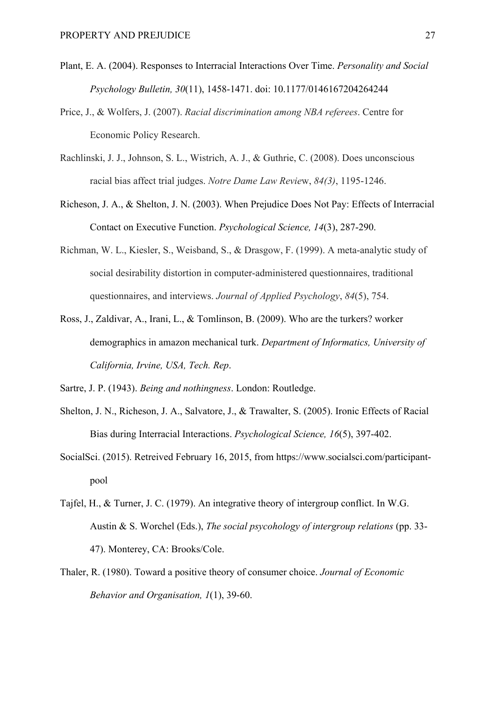- Plant, E. A. (2004). Responses to Interracial Interactions Over Time. *Personality and Social Psychology Bulletin, 30*(11), 1458-1471. doi: 10.1177/0146167204264244
- Price, J., & Wolfers, J. (2007). *Racial discrimination among NBA referees*. Centre for Economic Policy Research.
- Rachlinski, J. J., Johnson, S. L., Wistrich, A. J., & Guthrie, C. (2008). Does unconscious racial bias affect trial judges. *Notre Dame Law Revie*w, *84(3)*, 1195-1246.
- Richeson, J. A., & Shelton, J. N. (2003). When Prejudice Does Not Pay: Effects of Interracial Contact on Executive Function. *Psychological Science, 14*(3), 287-290.
- Richman, W. L., Kiesler, S., Weisband, S., & Drasgow, F. (1999). A meta-analytic study of social desirability distortion in computer-administered questionnaires, traditional questionnaires, and interviews. *Journal of Applied Psychology*, *84*(5), 754.
- Ross, J., Zaldivar, A., Irani, L., & Tomlinson, B. (2009). Who are the turkers? worker demographics in amazon mechanical turk. *Department of Informatics, University of California, Irvine, USA, Tech. Rep*.
- Sartre, J. P. (1943). *Being and nothingness*. London: Routledge.
- Shelton, J. N., Richeson, J. A., Salvatore, J., & Trawalter, S. (2005). Ironic Effects of Racial Bias during Interracial Interactions. *Psychological Science, 16*(5), 397-402.
- SocialSci. (2015). Retreived February 16, 2015, from https://www.socialsci.com/participantpool
- Tajfel, H., & Turner, J. C. (1979). An integrative theory of intergroup conflict. In W.G. Austin & S. Worchel (Eds.), *The social psycohology of intergroup relations* (pp. 33- 47). Monterey, CA: Brooks/Cole.
- Thaler, R. (1980). Toward a positive theory of consumer choice. *Journal of Economic Behavior and Organisation, 1*(1), 39-60.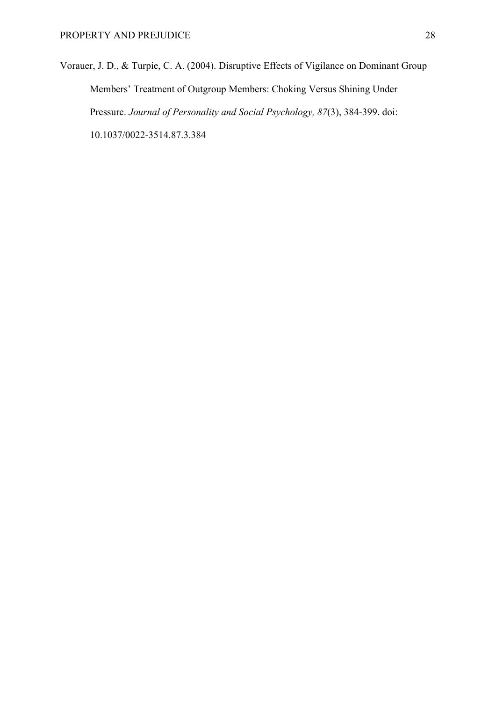Vorauer, J. D., & Turpie, C. A. (2004). Disruptive Effects of Vigilance on Dominant Group Members' Treatment of Outgroup Members: Choking Versus Shining Under Pressure. *Journal of Personality and Social Psychology, 87*(3), 384-399. doi: 10.1037/0022-3514.87.3.384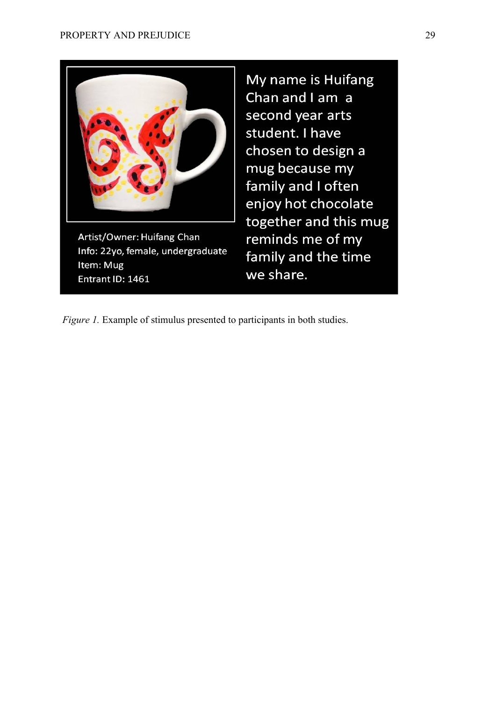

Item: Mug Entrant ID: 1461

My name is Huifang Chan and I am a second year arts student. I have chosen to design a mug because my family and I often enjoy hot chocolate together and this mug reminds me of my family and the time we share.

*Figure 1.* Example of stimulus presented to participants in both studies.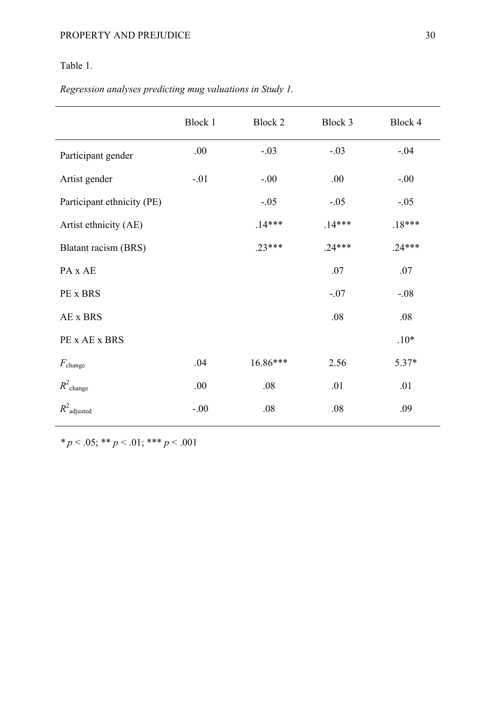# Table 1.

*Regression analyses predicting mug valuations in Study 1.* 

|                            | Block 1 | Block 2  | Block 3  | Block 4  |
|----------------------------|---------|----------|----------|----------|
| Participant gender         | .00     | $-.03$   | $-.03$   | $-.04$   |
| Artist gender              | $-.01$  | $-.00$   | .00      | $-0.00$  |
| Participant ethnicity (PE) |         | $-.05$   | $-.05$   | $-.05$   |
| Artist ethnicity (AE)      |         | $.14***$ | $.14***$ | $.18***$ |
| Blatant racism (BRS)       |         | $.23***$ | $.24***$ | $.24***$ |
| PA x AE                    |         |          | .07      | .07      |
| PE x BRS                   |         |          | $-.07$   | $-.08$   |
| AE x BRS                   |         |          | .08      | .08      |
| PE x AE x BRS              |         |          |          | $.10*$   |
| $F_{\text{change}}$        | .04     | 16.86*** | 2.56     | 5.37*    |
| $R^2$ change               | .00     | .08      | .01      | .01      |
| $R^2$ adjusted             | $-0.00$ | .08      | .08      | .09      |

*\* p* < .05; \*\* *p* < .01; \*\*\* *p* < .001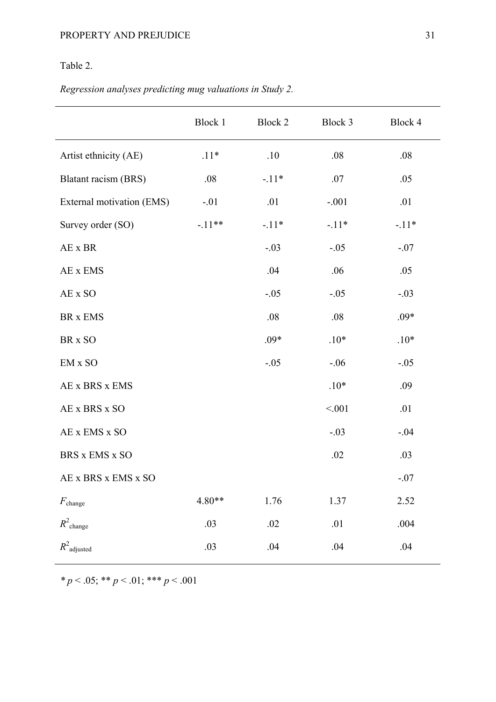# Table 2.

*Regression analyses predicting mug valuations in Study 2.* 

|                           | Block 1  | Block 2 | Block 3 | Block 4 |
|---------------------------|----------|---------|---------|---------|
| Artist ethnicity (AE)     | $.11*$   | .10     | .08     | .08     |
| Blatant racism (BRS)      | .08      | $-.11*$ | .07     | .05     |
| External motivation (EMS) | $-.01$   | .01     | $-.001$ | .01     |
| Survey order (SO)         | $-.11**$ | $-.11*$ | $-.11*$ | $-.11*$ |
| AE x BR                   |          | $-.03$  | $-.05$  | $-.07$  |
| AE x EMS                  |          | .04     | .06     | .05     |
| AE x SO                   |          | $-.05$  | $-.05$  | $-.03$  |
| BR x EMS                  |          | .08     | .08     | $.09*$  |
| BR x SO                   |          | $.09*$  | $.10*$  | $.10*$  |
| EM x SO                   |          | $-.05$  | $-.06$  | $-.05$  |
| AE x BRS x EMS            |          |         | $.10*$  | .09     |
| AE x BRS x SO             |          |         | < 001   | .01     |
| AE x EMS x SO             |          |         | $-.03$  | $-.04$  |
| BRS x EMS x SO            |          |         | .02     | .03     |
| AE x BRS x EMS x SO       |          |         |         | $-.07$  |
| $F_{change}$              | 4.80**   | 1.76    | 1.37    | 2.52    |
| $R^2$ <sub>change</sub>   | .03      | $.02\,$ | .01     | .004    |
| $R^2$ adjusted            | .03      | .04     | .04     | .04     |

*\* p* < .05; \*\* *p* < .01; \*\*\* *p* < .001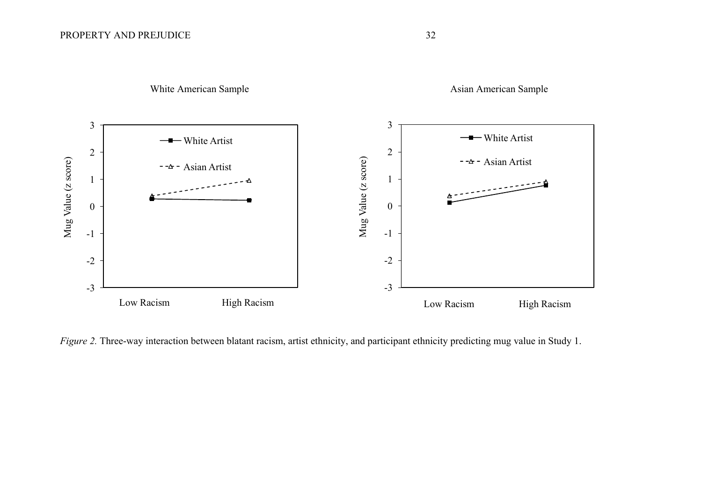

*Figure 2.* Three-way interaction between blatant racism, artist ethnicity, and participant ethnicity predicting mug value in Study 1.